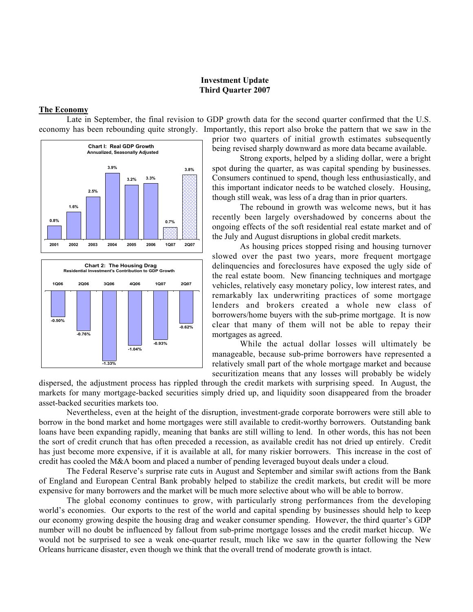## **Investment Update Third Quarter 2007**

## **The Economy**

Late in September, the final revision to GDP growth data for the second quarter confirmed that the U.S. economy has been rebounding quite strongly. Importantly, this report also broke the pattern that we saw in the





prior two quarters of initial growth estimates subsequently being revised sharply downward as more data became available.

Strong exports, helped by a sliding dollar, were a bright spot during the quarter, as was capital spending by businesses. Consumers continued to spend, though less enthusiastically, and this important indicator needs to be watched closely. Housing, though still weak, was less of a drag than in prior quarters.

The rebound in growth was welcome news, but it has recently been largely overshadowed by concerns about the ongoing effects of the soft residential real estate market and of the July and August disruptions in global credit markets.

As housing prices stopped rising and housing turnover slowed over the past two years, more frequent mortgage delinquencies and foreclosures have exposed the ugly side of the real estate boom. New financing techniques and mortgage vehicles, relatively easy monetary policy, low interest rates, and remarkably lax underwriting practices of some mortgage lenders and brokers created a whole new class of borrowers/home buyers with the sub-prime mortgage. It is now clear that many of them will not be able to repay their mortgages as agreed.

While the actual dollar losses will ultimately be manageable, because sub-prime borrowers have represented a relatively small part of the whole mortgage market and because securitization means that any losses will probably be widely

dispersed, the adjustment process has rippled through the credit markets with surprising speed. In August, the markets for many mortgage-backed securities simply dried up, and liquidity soon disappeared from the broader asset-backed securities markets too.

Nevertheless, even at the height of the disruption, investment-grade corporate borrowers were still able to borrow in the bond market and home mortgages were still available to credit-worthy borrowers. Outstanding bank loans have been expanding rapidly, meaning that banks are still willing to lend. In other words, this has not been the sort of credit crunch that has often preceded a recession, as available credit has not dried up entirely. Credit has just become more expensive, if it is available at all, for many riskier borrowers. This increase in the cost of credit has cooled the M&A boom and placed a number of pending leveraged buyout deals under a cloud.

The Federal Reserve's surprise rate cuts in August and September and similar swift actions from the Bank of England and European Central Bank probably helped to stabilize the credit markets, but credit will be more expensive for many borrowers and the market will be much more selective about who will be able to borrow.

The global economy continues to grow, with particularly strong performances from the developing world's economies. Our exports to the rest of the world and capital spending by businesses should help to keep our economy growing despite the housing drag and weaker consumer spending. However, the third quarter's GDP number will no doubt be influenced by fallout from sub-prime mortgage losses and the credit market hiccup. We would not be surprised to see a weak one-quarter result, much like we saw in the quarter following the New Orleans hurricane disaster, even though we think that the overall trend of moderate growth is intact.